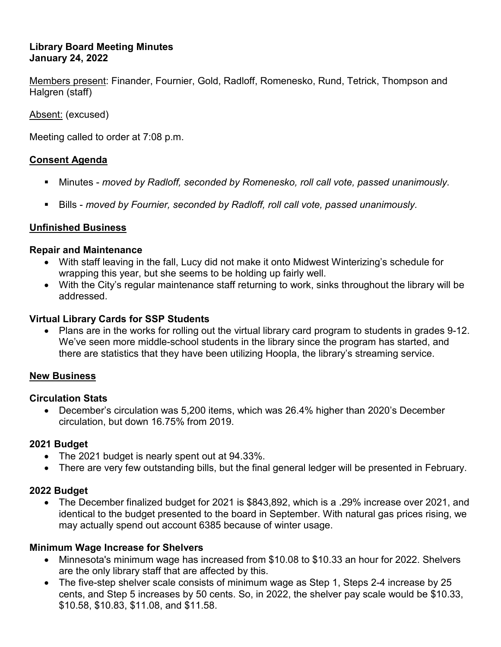## **Library Board Meeting Minutes January 24, 2022**

Members present: Finander, Fournier, Gold, Radloff, Romenesko, Rund, Tetrick, Thompson and Halgren (staff)

Absent: (excused)

Meeting called to order at 7:08 p.m.

# **Consent Agenda**

- Minutes *moved by Radloff, seconded by Romenesko, roll call vote, passed unanimously.*
- Bills *moved by Fournier, seconded by Radloff, roll call vote, passed unanimously.*

## **Unfinished Business**

#### **Repair and Maintenance**

- With staff leaving in the fall, Lucy did not make it onto Midwest Winterizing's schedule for wrapping this year, but she seems to be holding up fairly well.
- With the City's regular maintenance staff returning to work, sinks throughout the library will be addressed.

## **Virtual Library Cards for SSP Students**

• Plans are in the works for rolling out the virtual library card program to students in grades 9-12. We've seen more middle-school students in the library since the program has started, and there are statistics that they have been utilizing Hoopla, the library's streaming service.

#### **New Business**

#### **Circulation Stats**

• December's circulation was 5,200 items, which was 26.4% higher than 2020's December circulation, but down 16.75% from 2019.

# **2021 Budget**

- The 2021 budget is nearly spent out at 94.33%.
- There are very few outstanding bills, but the final general ledger will be presented in February.

# **2022 Budget**

• The December finalized budget for 2021 is \$843,892, which is a .29% increase over 2021, and identical to the budget presented to the board in September. With natural gas prices rising, we may actually spend out account 6385 because of winter usage.

# **Minimum Wage Increase for Shelvers**

- Minnesota's minimum wage has increased from \$10.08 to \$10.33 an hour for 2022. Shelvers are the only library staff that are affected by this.
- The five-step shelver scale consists of minimum wage as Step 1, Steps 2-4 increase by 25 cents, and Step 5 increases by 50 cents. So, in 2022, the shelver pay scale would be \$10.33, \$10.58, \$10.83, \$11.08, and \$11.58.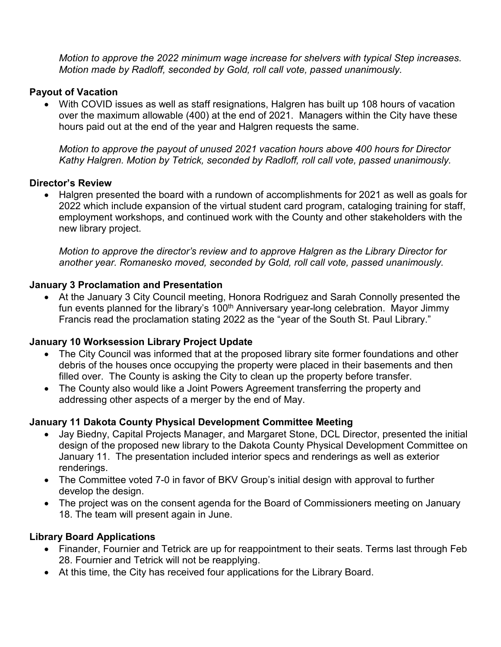*Motion to approve the 2022 minimum wage increase for shelvers with typical Step increases. Motion made by Radloff, seconded by Gold, roll call vote, passed unanimously.* 

## **Payout of Vacation**

• With COVID issues as well as staff resignations, Halgren has built up 108 hours of vacation over the maximum allowable (400) at the end of 2021. Managers within the City have these hours paid out at the end of the year and Halgren requests the same.

*Motion to approve the payout of unused 2021 vacation hours above 400 hours for Director Kathy Halgren. Motion by Tetrick, seconded by Radloff, roll call vote, passed unanimously.* 

#### **Director's Review**

• Halgren presented the board with a rundown of accomplishments for 2021 as well as goals for 2022 which include expansion of the virtual student card program, cataloging training for staff, employment workshops, and continued work with the County and other stakeholders with the new library project.

*Motion to approve the director's review and to approve Halgren as the Library Director for another year. Romanesko moved, seconded by Gold, roll call vote, passed unanimously.*

## **January 3 Proclamation and Presentation**

• At the January 3 City Council meeting, Honora Rodriguez and Sarah Connolly presented the fun events planned for the library's 100<sup>th</sup> Anniversary year-long celebration. Mayor Jimmy Francis read the proclamation stating 2022 as the "year of the South St. Paul Library."

# **January 10 Worksession Library Project Update**

- The City Council was informed that at the proposed library site former foundations and other debris of the houses once occupying the property were placed in their basements and then filled over. The County is asking the City to clean up the property before transfer.
- The County also would like a Joint Powers Agreement transferring the property and addressing other aspects of a merger by the end of May.

# **January 11 Dakota County Physical Development Committee Meeting**

- Jay Biedny, Capital Projects Manager, and Margaret Stone, DCL Director, presented the initial design of the proposed new library to the Dakota County Physical Development Committee on January 11. The presentation included interior specs and renderings as well as exterior renderings.
- The Committee voted 7-0 in favor of BKV Group's initial design with approval to further develop the design.
- The project was on the consent agenda for the Board of Commissioners meeting on January 18. The team will present again in June.

# **Library Board Applications**

- Finander, Fournier and Tetrick are up for reappointment to their seats. Terms last through Feb 28. Fournier and Tetrick will not be reapplying.
- At this time, the City has received four applications for the Library Board.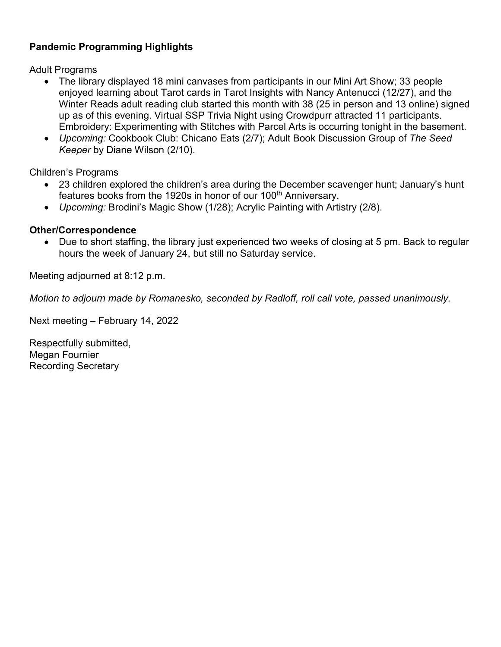# **Pandemic Programming Highlights**

Adult Programs

- The library displayed 18 mini canvases from participants in our Mini Art Show; 33 people enjoyed learning about Tarot cards in Tarot Insights with Nancy Antenucci (12/27), and the Winter Reads adult reading club started this month with 38 (25 in person and 13 online) signed up as of this evening. Virtual SSP Trivia Night using Crowdpurr attracted 11 participants. Embroidery: Experimenting with Stitches with Parcel Arts is occurring tonight in the basement.
- *Upcoming:* Cookbook Club: Chicano Eats (2/7); Adult Book Discussion Group of *The Seed Keeper* by Diane Wilson (2/10).

Children's Programs

- 23 children explored the children's area during the December scavenger hunt; January's hunt features books from the 1920s in honor of our 100<sup>th</sup> Anniversary.
- *Upcoming:* Brodini's Magic Show (1/28); Acrylic Painting with Artistry (2/8).

## **Other/Correspondence**

• Due to short staffing, the library just experienced two weeks of closing at 5 pm. Back to regular hours the week of January 24, but still no Saturday service.

Meeting adjourned at 8:12 p.m.

*Motion to adjourn made by Romanesko, seconded by Radloff, roll call vote, passed unanimously.*

Next meeting – February 14, 2022

Respectfully submitted, Megan Fournier Recording Secretary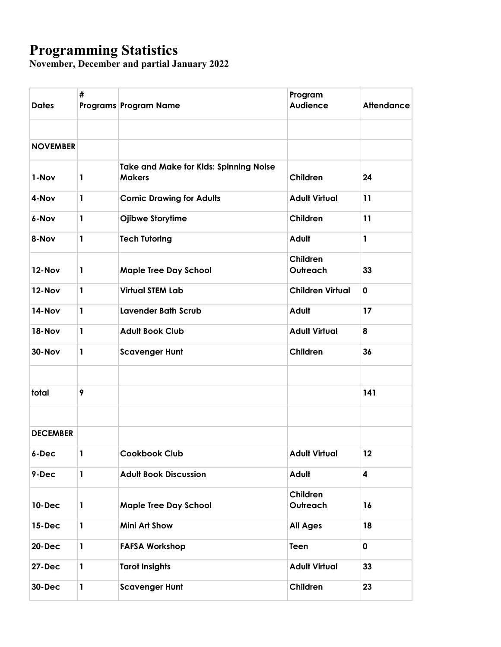# **Programming Statistics**

**November, December and partial January 2022**

| <b>Dates</b>    | #            | Programs Program Name                                          | Program<br><b>Audience</b> | <b>Attendance</b>       |
|-----------------|--------------|----------------------------------------------------------------|----------------------------|-------------------------|
|                 |              |                                                                |                            |                         |
| <b>NOVEMBER</b> |              |                                                                |                            |                         |
| 1-Nov           | 1            | <b>Take and Make for Kids: Spinning Noise</b><br><b>Makers</b> | Children                   | 24                      |
| 4-Nov           | 1            | <b>Comic Drawing for Adults</b>                                | <b>Adult Virtual</b>       | 11                      |
| 6-Nov           | 1            | Ojibwe Storytime                                               | Children                   | 11                      |
| 8-Nov           | 1            | <b>Tech Tutoring</b>                                           | Adult                      | $\mathbf{1}$            |
| 12-Nov          | 1            | <b>Maple Tree Day School</b>                                   | Children<br>Outreach       | 33                      |
| 12-Nov          | 1            | <b>Virtual STEM Lab</b>                                        | <b>Children Virtual</b>    | 0                       |
| 14-Nov          | 1            | <b>Lavender Bath Scrub</b>                                     | Adult                      | 17                      |
| <b>18-Nov</b>   | 1            | <b>Adult Book Club</b>                                         | <b>Adult Virtual</b>       | 8                       |
| <b>30-Nov</b>   | 1            | <b>Scavenger Hunt</b>                                          | Children                   | 36                      |
|                 |              |                                                                |                            |                         |
| total           | 9            |                                                                |                            | 141                     |
| <b>DECEMBER</b> |              |                                                                |                            |                         |
| 6-Dec           | $\mathbf{1}$ | Cookbook Club                                                  | <b>Adult Virtual</b>       | 12                      |
| 9-Dec           | $\mathbf{1}$ | <b>Adult Book Discussion</b>                                   | Adult                      | $\overline{\mathbf{4}}$ |
| <b>10-Dec</b>   | 1            | <b>Maple Tree Day School</b>                                   | Children<br>Outreach       | 16                      |
| $15$ -Dec       | $\mathbf{1}$ | <b>Mini Art Show</b>                                           | <b>All Ages</b>            | 18                      |
| <b>20-Dec</b>   | $\mathbf{1}$ | <b>FAFSA Workshop</b>                                          | Teen                       | $\mathbf 0$             |
| <b>27-Dec</b>   | $\mathbf{1}$ | <b>Tarot Insights</b>                                          | <b>Adult Virtual</b>       | 33                      |
| 30-Dec          | 1            | <b>Scavenger Hunt</b>                                          | Children                   | 23                      |